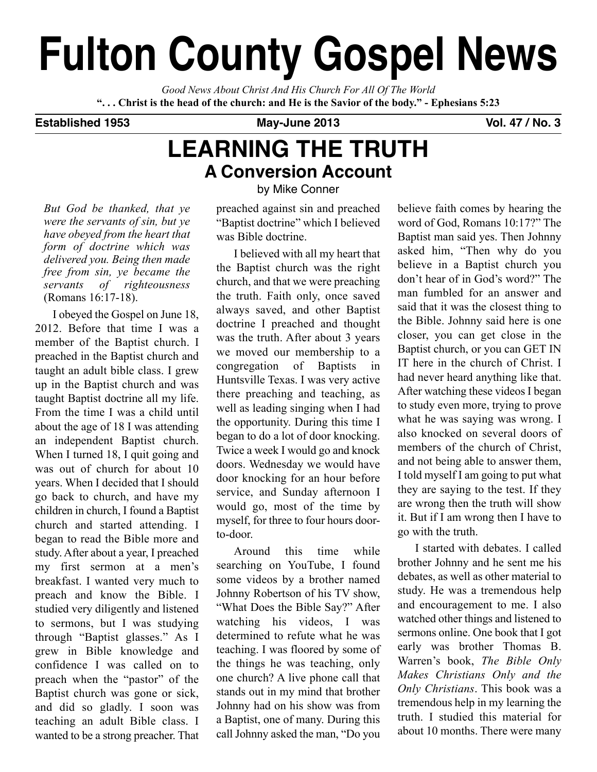# **Fulton County Gospel News**

*Good News About Christ And His Church For All Of The World* "... Christ is the head of the church: and He is the Savior of the body." - Ephesians 5:23

## **Established 1953 May-June 2013 Vol. 47 / No. 3**

# **LEARNING THE TRUTH A Conversion Account**

*But God be thanked, that ye were the servants of sin, but ye have obeyed from the heart that form of doctrine which was delivered you. Being then made free from sin, ye became the servants of righteousness* (Romans 16:17-18).

I obeyed the Gospel on June 18, 2012. Before that time I was a member of the Baptist church. I preached in the Baptist church and taught an adult bible class. I grew up in the Baptist church and was taught Baptist doctrine all my life. From the time I was a child until about the age of 18 I was attending an independent Baptist church. When I turned 18, I quit going and was out of church for about 10 years. When I decided that I should go back to church, and have my children in church, I found a Baptist church and started attending. I began to read the Bible more and study. After about a year, I preached my first sermon at a men's breakfast. I wanted very much to preach and know the Bible. I studied very diligently and listened to sermons, but I was studying through "Baptist glasses." As I grew in Bible knowledge and confidence I was called on to preach when the "pastor" of the Baptist church was gone or sick, and did so gladly. I soon was teaching an adult Bible class. I wanted to be a strong preacher. That by Mike Conner

preached against sin and preached "Baptist doctrine" which I believed was Bible doctrine.

I believed with all my heart that the Baptist church was the right church, and that we were preaching the truth. Faith only, once saved always saved, and other Baptist doctrine I preached and thought was the truth. After about 3 years we moved our membership to a congregation of Baptists in Huntsville Texas. I was very active there preaching and teaching, as well as leading singing when I had the opportunity. During this time I began to do a lot of door knocking. Twice a week I would go and knock doors. Wednesday we would have door knocking for an hour before service, and Sunday afternoon I would go, most of the time by myself, for three to four hours doorto-door.

Around this time while searching on YouTube, I found some videos by a brother named Johnny Robertson of his TV show, "What Does the Bible Say?" After watching his videos, I was determined to refute what he was teaching. I was floored by some of the things he was teaching, only one church? A live phone call that stands out in my mind that brother Johnny had on his show was from a Baptist, one of many. During this call Johnny asked the man, "Do you

believe faith comes by hearing the word of God, Romans 10:17?" The Baptist man said yes. Then Johnny asked him, "Then why do you believe in a Baptist church you don't hear of in God's word?" The man fumbled for an answer and said that it was the closest thing to the Bible. Johnny said here is one closer, you can get close in the Baptist church, or you can GET IN IT here in the church of Christ. I had never heard anything like that. After watching these videos I began to study even more, trying to prove what he was saying was wrong. I also knocked on several doors of members of the church of Christ, and not being able to answer them, I told myself I am going to put what they are saying to the test. If they are wrong then the truth will show it. But if I am wrong then I have to go with the truth.

I started with debates. I called brother Johnny and he sent me his debates, as well as other material to study. He was a tremendous help and encouragement to me. I also watched other things and listened to sermons online. One book that I got early was brother Thomas B. Warren's book, *The Bible Only Makes Christians Only and the Only Christians*. This book was a tremendous help in my learning the truth. I studied this material for about 10 months. There were many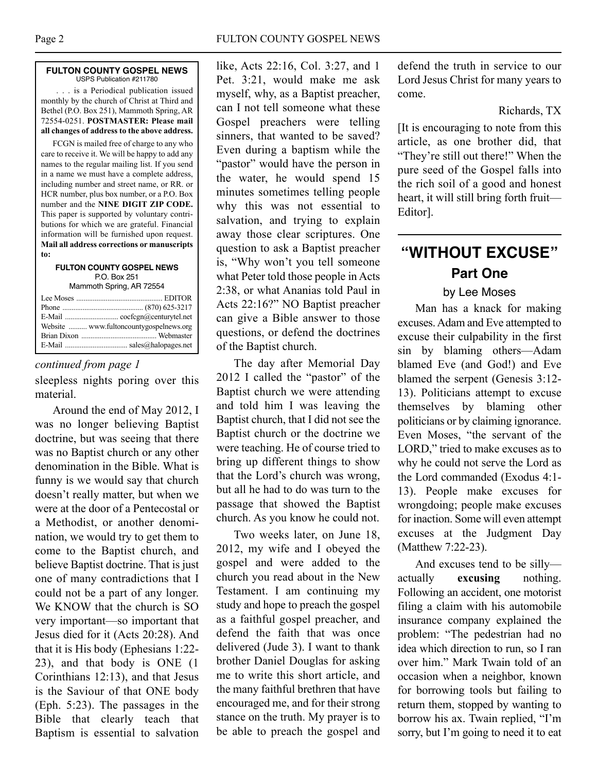#### **FULTON COUNTY GOSPEL NEWS** USPS Publication #211780

. . . is a Periodical publication issued monthly by the church of Christ at Third and Bethel (P.O. Box 251), Mammoth Spring, AR 72554-0251. **POSTMASTER: Please mail all changes of address to the above address.**

FCGN is mailed free of charge to any who care to receive it. We will be happy to add any names to the regular mailing list. If you send in a name we must have a complete address, including number and street name, or RR. or HCR number, plus box number, or a P.O. Box number and the **NINE DIGIT ZIP CODE.** This paper is supported by voluntary contributions for which we are grateful. Financial information will be furnished upon request. **Mail all address corrections or manuscripts to:**

#### **FULTON COUNTY GOSPEL NEWS** P.O. Box 251 Mammoth Spring, AR 72554

## *continued from page 1*

sleepless nights poring over this material.

Around the end of May 2012, I was no longer believing Baptist doctrine, but was seeing that there was no Baptist church or any other denomination in the Bible. What is funny is we would say that church doesn't really matter, but when we were at the door of a Pentecostal or a Methodist, or another denomination, we would try to get them to come to the Baptist church, and believe Baptist doctrine. That is just one of many contradictions that I could not be a part of any longer. We KNOW that the church is SO very important—so important that Jesus died for it (Acts 20:28). And that it is His body (Ephesians 1:22- 23), and that body is ONE (1 Corinthians 12:13), and that Jesus is the Saviour of that ONE body (Eph. 5:23). The passages in the Bible that clearly teach that Baptism is essential to salvation

like, Acts 22:16, Col. 3:27, and 1 Pet. 3:21, would make me ask myself, why, as a Baptist preacher, can I not tell someone what these Gospel preachers were telling sinners, that wanted to be saved? Even during a baptism while the "pastor" would have the person in the water, he would spend 15 minutes sometimes telling people why this was not essential to salvation, and trying to explain away those clear scriptures. One question to ask a Baptist preacher is, "Why won't you tell someone what Peter told those people in Acts 2:38, or what Ananias told Paul in Acts 22:16?" NO Baptist preacher can give a Bible answer to those questions, or defend the doctrines of the Baptist church.

The day after Memorial Day 2012 I called the "pastor" of the Baptist church we were attending and told him I was leaving the Baptist church, that I did not see the Baptist church or the doctrine we were teaching. He of course tried to bring up different things to show that the Lord's church was wrong, but all he had to do was turn to the passage that showed the Baptist church. As you know he could not.

Two weeks later, on June 18, 2012, my wife and I obeyed the gospel and were added to the church you read about in the New Testament. I am continuing my study and hope to preach the gospel as a faithful gospel preacher, and defend the faith that was once delivered (Jude 3). I want to thank brother Daniel Douglas for asking me to write this short article, and the many faithful brethren that have encouraged me, and for their strong stance on the truth. My prayer is to be able to preach the gospel and defend the truth in service to our Lord Jesus Christ for many years to come.

## Richards, TX

[It is encouraging to note from this article, as one brother did, that "They're still out there!" When the pure seed of the Gospel falls into the rich soil of a good and honest heart, it will still bring forth fruit— Editor].

# **"WITHOUT EXCUSE" Part One**

## by Lee Moses

Man has a knack for making excuses.Adam and Eve attempted to excuse their culpability in the first sin by blaming others—Adam blamed Eve (and God!) and Eve blamed the serpent (Genesis 3:12- 13). Politicians attempt to excuse themselves by blaming other politicians or by claiming ignorance. Even Moses, "the servant of the LORD," tried to make excuses as to why he could not serve the Lord as the Lord commanded (Exodus 4:1- 13). People make excuses for wrongdoing; people make excuses for inaction. Some will even attempt excuses at the Judgment Day (Matthew 7:22-23).

And excuses tend to be silly actually **excusing** nothing. Following an accident, one motorist filing a claim with his automobile insurance company explained the problem: "The pedestrian had no idea which direction to run, so I ran over him." Mark Twain told of an occasion when a neighbor, known for borrowing tools but failing to return them, stopped by wanting to borrow his ax. Twain replied, "I'm sorry, but I'm going to need it to eat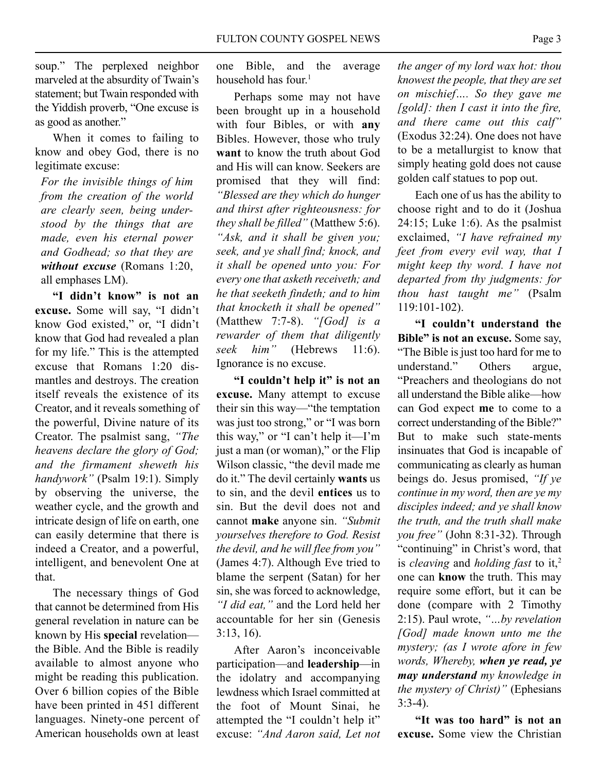soup." The perplexed neighbor marveled at the absurdity of Twain's statement; but Twain responded with the Yiddish proverb, "One excuse is as good as another."

When it comes to failing to know and obey God, there is no legitimate excuse:

*For the invisible things of him from the creation of the world are clearly seen, being understood by the things that are made, even his eternal power and Godhead; so that they are without excuse* (Romans 1:20, all emphases LM).

**"I didn't know" is not an excuse.** Some will say, "I didn't know God existed," or, "I didn't know that God had revealed a plan for my life." This is the attempted excuse that Romans 1:20 dismantles and destroys. The creation itself reveals the existence of its Creator, and it reveals something of the powerful, Divine nature of its Creator. The psalmist sang, *"The heavens declare the glory of God; and the firmament sheweth his handywork"* (Psalm 19:1). Simply by observing the universe, the weather cycle, and the growth and intricate design of life on earth, one can easily determine that there is indeed a Creator, and a powerful, intelligent, and benevolent One at that.

The necessary things of God that cannot be determined from His general revelation in nature can be known by His **special** revelation the Bible. And the Bible is readily available to almost anyone who might be reading this publication. Over 6 billion copies of the Bible have been printed in 451 different languages. Ninety-one percent of American households own at least

one Bible, and the average household has four. 1

Perhaps some may not have been brought up in a household with four Bibles, or with **any** Bibles. However, those who truly **want** to know the truth about God and His will can know. Seekers are promised that they will find: *"Blessed are they which do hunger and thirst after righteousness: for they shall be filled"* (Matthew 5:6). *"Ask, and it shall be given you; seek, and ye shall find; knock, and it shall be opened unto you: For every one that asketh receiveth; and he that seeketh findeth; and to him that knocketh it shall be opened"* (Matthew 7:7-8). *"[God] is a rewarder of them that diligently seek him"* (Hebrews 11:6). Ignorance is no excuse.

**"I couldn't help it" is not an excuse.** Many attempt to excuse their sin this way—"the temptation was just too strong," or "I was born this way," or "I can't help it—I'm just a man (or woman)," or the Flip Wilson classic, "the devil made me do it." The devil certainly **wants** us to sin, and the devil **entices** us to sin. But the devil does not and cannot **make** anyone sin. *"Submit yourselves therefore to God. Resist the devil, and he will flee from you"* (James 4:7). Although Eve tried to blame the serpent (Satan) for her sin, she was forced to acknowledge, *"I did eat,"* and the Lord held her accountable for her sin (Genesis 3:13, 16).

After Aaron's inconceivable participation—and **leadership**—in the idolatry and accompanying lewdness which Israel committed at the foot of Mount Sinai, he attempted the "I couldn't help it" excuse: *"And Aaron said, Let not* *the anger of my lord wax hot: thou knowest the people, that they are set on mischief…. So they gave me [gold]: then I cast it into the fire, and there came out this calf"* (Exodus 32:24). One does not have to be a metallurgist to know that simply heating gold does not cause golden calf statues to pop out.

Each one of us has the ability to choose right and to do it (Joshua  $24:15$ ; Luke 1:6). As the psalmist exclaimed, *"I have refrained my feet from every evil way, that I might keep thy word. I have not departed from thy judgments: for thou hast taught me"* (Psalm 119:101-102).

**"I couldn't understand the Bible" is not an excuse.** Some say, "The Bible is just too hard for me to understand." Others argue, "Preachers and theologians do not all understand the Bible alike—how can God expect **me** to come to a correct understanding of the Bible?" But to make such state-ments insinuates that God is incapable of communicating as clearly as human beings do. Jesus promised, *"If ye continue in my word, then are ye my disciples indeed; and ye shall know the truth, and the truth shall make you free"* (John 8:31-32). Through "continuing" in Christ's word, that is *cleaving* and *holding fast* to it, 2 one can **know** the truth. This may require some effort, but it can be done (compare with 2 Timothy 2:15). Paul wrote, *"…by revelation [God] made known unto me the mystery; (as I wrote afore in few words, Whereby, when ye read, ye may understand my knowledge in the mystery of Christ)"* (Ephesians 3:3-4).

**"It was too hard" is not an excuse.** Some view the Christian